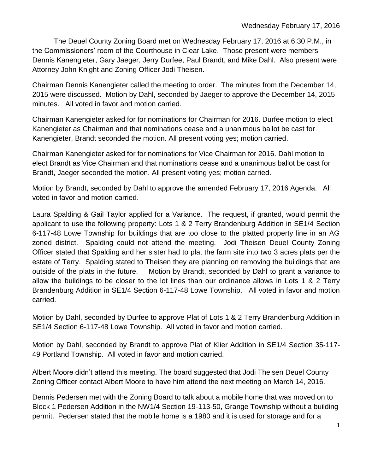The Deuel County Zoning Board met on Wednesday February 17, 2016 at 6:30 P.M., in the Commissioners' room of the Courthouse in Clear Lake. Those present were members Dennis Kanengieter, Gary Jaeger, Jerry Durfee, Paul Brandt, and Mike Dahl. Also present were Attorney John Knight and Zoning Officer Jodi Theisen.

Chairman Dennis Kanengieter called the meeting to order. The minutes from the December 14, 2015 were discussed. Motion by Dahl, seconded by Jaeger to approve the December 14, 2015 minutes. All voted in favor and motion carried.

Chairman Kanengieter asked for for nominations for Chairman for 2016. Durfee motion to elect Kanengieter as Chairman and that nominations cease and a unanimous ballot be cast for Kanengieter, Brandt seconded the motion. All present voting yes; motion carried.

Chairman Kanengieter asked for for nominations for Vice Chairman for 2016. Dahl motion to elect Brandt as Vice Chairman and that nominations cease and a unanimous ballot be cast for Brandt, Jaeger seconded the motion. All present voting yes; motion carried.

Motion by Brandt, seconded by Dahl to approve the amended February 17, 2016 Agenda. All voted in favor and motion carried.

Laura Spalding & Gail Taylor applied for a Variance. The request, if granted, would permit the applicant to use the following property: Lots 1 & 2 Terry Brandenburg Addition in SE1/4 Section 6-117-48 Lowe Township for buildings that are too close to the platted property line in an AG zoned district. Spalding could not attend the meeting. Jodi Theisen Deuel County Zoning Officer stated that Spalding and her sister had to plat the farm site into two 3 acres plats per the estate of Terry. Spalding stated to Theisen they are planning on removing the buildings that are outside of the plats in the future. Motion by Brandt, seconded by Dahl to grant a variance to allow the buildings to be closer to the lot lines than our ordinance allows in Lots 1 & 2 Terry Brandenburg Addition in SE1/4 Section 6-117-48 Lowe Township. All voted in favor and motion carried.

Motion by Dahl, seconded by Durfee to approve Plat of Lots 1 & 2 Terry Brandenburg Addition in SE1/4 Section 6-117-48 Lowe Township. All voted in favor and motion carried.

Motion by Dahl, seconded by Brandt to approve Plat of Klier Addition in SE1/4 Section 35-117- 49 Portland Township. All voted in favor and motion carried.

Albert Moore didn't attend this meeting. The board suggested that Jodi Theisen Deuel County Zoning Officer contact Albert Moore to have him attend the next meeting on March 14, 2016.

Dennis Pedersen met with the Zoning Board to talk about a mobile home that was moved on to Block 1 Pedersen Addition in the NW1/4 Section 19-113-50, Grange Township without a building permit. Pedersen stated that the mobile home is a 1980 and it is used for storage and for a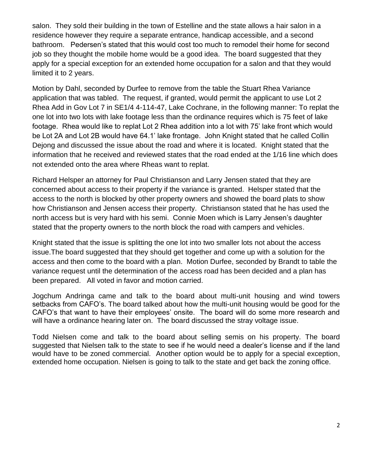salon. They sold their building in the town of Estelline and the state allows a hair salon in a residence however they require a separate entrance, handicap accessible, and a second bathroom. Pedersen's stated that this would cost too much to remodel their home for second job so they thought the mobile home would be a good idea. The board suggested that they apply for a special exception for an extended home occupation for a salon and that they would limited it to 2 years.

Motion by Dahl, seconded by Durfee to remove from the table the Stuart Rhea Variance application that was tabled. The request, if granted, would permit the applicant to use Lot 2 Rhea Add in Gov Lot 7 in SE1/4 4-114-47, Lake Cochrane, in the following manner: To replat the one lot into two lots with lake footage less than the ordinance requires which is 75 feet of lake footage. Rhea would like to replat Lot 2 Rhea addition into a lot with 75' lake front which would be Lot 2A and Lot 2B would have 64.1' lake frontage. John Knight stated that he called Collin Dejong and discussed the issue about the road and where it is located. Knight stated that the information that he received and reviewed states that the road ended at the 1/16 line which does not extended onto the area where Rheas want to replat.

Richard Helsper an attorney for Paul Christianson and Larry Jensen stated that they are concerned about access to their property if the variance is granted. Helsper stated that the access to the north is blocked by other property owners and showed the board plats to show how Christianson and Jensen access their property. Christianson stated that he has used the north access but is very hard with his semi. Connie Moen which is Larry Jensen's daughter stated that the property owners to the north block the road with campers and vehicles.

Knight stated that the issue is splitting the one lot into two smaller lots not about the access issue.The board suggested that they should get together and come up with a solution for the access and then come to the board with a plan. Motion Durfee, seconded by Brandt to table the variance request until the determination of the access road has been decided and a plan has been prepared. All voted in favor and motion carried.

Jogchum Andringa came and talk to the board about multi-unit housing and wind towers setbacks from CAFO's. The board talked about how the multi-unit housing would be good for the CAFO's that want to have their employees' onsite. The board will do some more research and will have a ordinance hearing later on. The board discussed the stray voltage issue.

Todd Nielsen come and talk to the board about selling semis on his property. The board suggested that Nielsen talk to the state to see if he would need a dealer's license and if the land would have to be zoned commercial. Another option would be to apply for a special exception, extended home occupation. Nielsen is going to talk to the state and get back the zoning office.